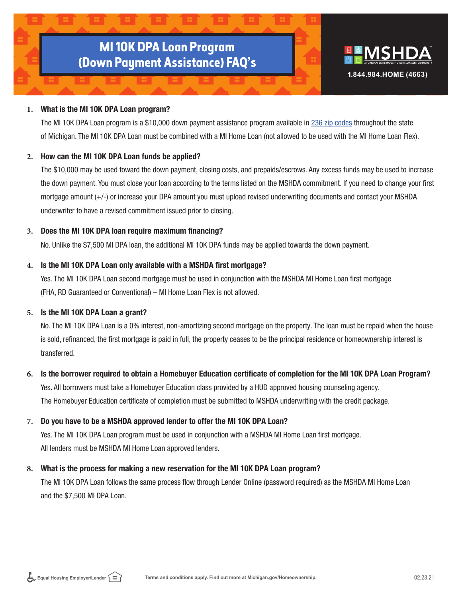# **MI 10K DPA Loan Program (Down Payment Assistance) FAQ's**



## **1.** What is the MI 10K DPA Loan program?

The MI 10K DPA Loan program is a \$10,000 down payment assistance program available in [236 zip codes](https://www.michigan.gov/mshda/-/media/Project/Websites/mshda/homeownership/Homebuyers/MSHDA_MI_10K_DPA_Loan_Zip_Codes_22321.pdf?rev=c66a63350d34457593512ec6d7d4c411&hash=7A1380472FF5FD49F9DB94C104786836) throughout the state of Michigan. The MI 10K DPA Loan must be combined with a MI Home Loan (not allowed to be used with the MI Home Loan Flex).

# **2.** How can the MI 10K DPA Loan funds be applied?

The \$10,000 may be used toward the down payment, closing costs, and prepaids/escrows. Any excess funds may be used to increase the down payment. You must close your loan according to the terms listed on the MSHDA commitment. If you need to change your first mortgage amount (+/-) or increase your DPA amount you must upload revised underwriting documents and contact your MSHDA underwriter to have a revised commitment issued prior to closing.

# **3.** Does the MI 10K DPA loan require maximum financing?

No. Unlike the \$7,500 MI DPA loan, the additional MI 10K DPA funds may be applied towards the down payment.

## **4.** Is the MI 10K DPA Loan only available with a MSHDA first mortgage?

Yes. The MI 10K DPA Loan second mortgage must be used in conjunction with the MSHDA MI Home Loan first mortgage (FHA, RD Guaranteed or Conventional) – MI Home Loan Flex is not allowed.

## **5.** Is the MI 10K DPA Loan a grant?

No. The MI 10K DPA Loan is a 0% interest, non-amortizing second mortgage on the property. The loan must be repaid when the house is sold, refinanced, the first mortgage is paid in full, the property ceases to be the principal residence or homeownership interest is transferred.

# **6.** Is the borrower required to obtain a Homebuyer Education certificate of completion for the MI 10K DPA Loan Program?

Yes. All borrowers must take a Homebuyer Education class provided by a HUD approved housing counseling agency. The Homebuyer Education certificate of completion must be submitted to MSHDA underwriting with the credit package.

# **7.** Do you have to be a MSHDA approved lender to offer the MI 10K DPA Loan?

Yes. The MI 10K DPA Loan program must be used in conjunction with a MSHDA MI Home Loan first mortgage. All lenders must be MSHDA MI Home Loan approved lenders.

# **8.** What is the process for making a new reservation for the MI 10K DPA Loan program?

The MI 10K DPA Loan follows the same process flow through Lender Online (password required) as the MSHDA MI Home Loan and the \$7,500 MI DPA Loan.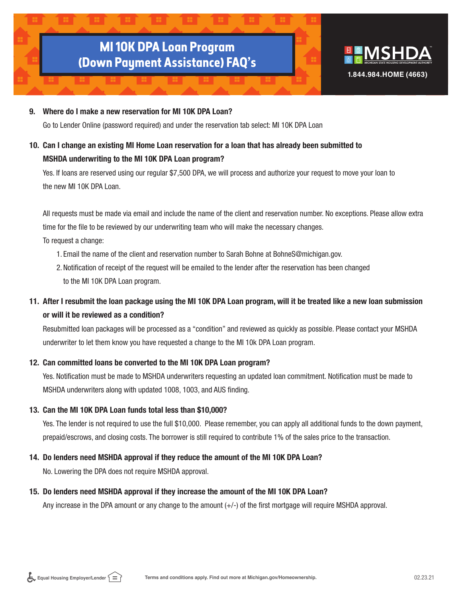# **MI 10K DPA Loan Program (Down Payment Assistance) FAQ's**



## 9. Where do I make a new reservation for MI 10K DPA Loan?

Go to Lender Online (password required) and under the reservation tab select: MI 10K DPA Loan

# 10. Can I change an existing MI Home Loan reservation for a loan that has already been submitted to MSHDA underwriting to the MI 10K DPA Loan program?

Yes. If loans are reserved using our regular \$7,500 DPA, we will process and authorize your request to move your loan to the new MI 10K DPA Loan.

All requests must be made via email and include the name of the client and reservation number. No exceptions. Please allow extra time for the file to be reviewed by our underwriting team who will make the necessary changes.

To request a change:

- 1. Email the name of the client and reservation number to Sarah Bohne at BohneS@michigan.gov.
- 2.Notification of receipt of the request will be emailed to the lender after the reservation has been changed to the MI 10K DPA Loan program.

# 11. After I resubmit the loan package using the MI 10K DPA Loan program, will it be treated like a new loan submission or will it be reviewed as a condition?

Resubmitted loan packages will be processed as a "condition" and reviewed as quickly as possible. Please contact your MSHDA underwriter to let them know you have requested a change to the MI 10k DPA Loan program.

# 12. Can committed loans be converted to the MI 10K DPA Loan program?

Yes. Notification must be made to MSHDA underwriters requesting an updated loan commitment. Notification must be made to MSHDA underwriters along with updated 1008, 1003, and AUS finding.

# 13. Can the MI 10K DPA Loan funds total less than \$10,000?

Yes. The lender is not required to use the full \$10,000. Please remember, you can apply all additional funds to the down payment, prepaid/escrows, and closing costs. The borrower is still required to contribute 1% of the sales price to the transaction.

# 14. Do lenders need MSHDA approval if they reduce the amount of the MI 10K DPA Loan?

No. Lowering the DPA does not require MSHDA approval.

## 15. Do lenders need MSHDA approval if they increase the amount of the MI 10K DPA Loan?

Any increase in the DPA amount or any change to the amount  $(+/-)$  of the first mortgage will require MSHDA approval.